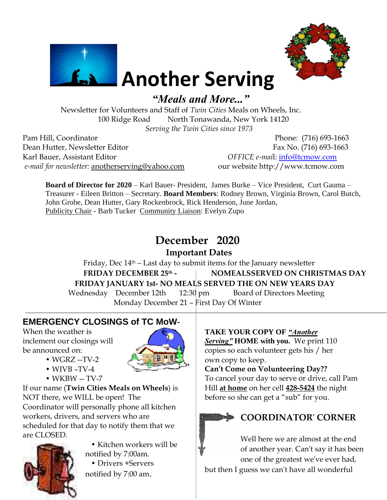



# **Another Serving**

*"Meals and More..."*

Newsletter for Volunteers and Staff of *Twin Cities* Meals on Wheels, Inc. 100 Ridge Road North Tonawanda, New York 14120 *Serving the Twin Cities since 1973* 

Pam Hill, Coordinator Phone: (716) 693-1663 Dean Hutter, Newsletter Editor Fax No. (716) 693-1663 Karl Bauer, Assistant Editor *OFFICE e-mai*l: [info@tcmow.com](mailto:info@tcmow.com) *e-mail for newsletter:* [anotherserving@yahoo.com](mailto:kebblues@yahoo.com) our website http://www.tcmow.com

**Board of Director for 2020** – Karl Bauer- President, James Burke – Vice President, Curt Gauma – Treasurer - Eileen Britton – Secretary. **Board Members**: Rodney Brown, Virginia Brown, Carol Butch, John Grobe, Dean Hutter, Gary Rockenbrock, Rick Henderson, June Jordan, Publicity Chair - Barb Tucker Community Liaison: Evelyn Zupo

# **December 2020**

### **Important Dates**

Friday, Dec 14th – Last day to submit items for the January newsletter **FRIDAY DECEMBER 25 th - NOMEALSSERVED ON CHRISTMAS DAY FRIDAY JANUARY 1st- NO MEALS SERVED THE ON NEW YEARS DAY** Wednesday December 12th 12:30 pm Board of Directors Meeting

Monday December 21 – First Day Of Winter

### **EMERGENCY CLOSINGS of TC MoW-**

When the weather is inclement our closings will be announced on:

- WGRZ --TV-2
- WIVB –TV-4
- WKBW -- TV-7

If our name (**Twin Cities Meals on Wheels**) is NOT there, we WILL be open! The Coordinator will personally phone all kitchen workers, drivers, and servers who are scheduled for that day to notify them that we are CLOSED.



 • Kitchen workers will be notified by 7:00am.

 • Drivers +Servers notified by 7:00 am.

# **TAKE YOUR COPY OF** *"Another*

*Serving"* **HOME with you.** We print 110 copies so each volunteer gets his / her own copy to keep.

**Can't Come on Volunteering Day??** To cancel your day to serve or drive, call Pam Hill **at home** on her cell **428-5424** the night before so she can get a "sub" for you.

# **COORDINATOR' CORNER**

Well here we are almost at the end of another year. Can't say it has been one of the greatest we've ever had, but then I guess we can't have all wonderful

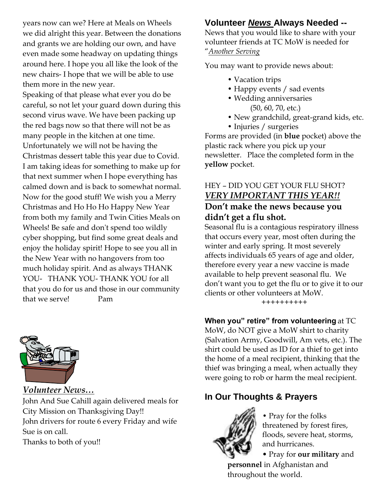years now can we? Here at Meals on Wheels we did alright this year. Between the donations and grants we are holding our own, and have even made some headway on updating things around here. I hope you all like the look of the new chairs- I hope that we will be able to use them more in the new year.

Speaking of that please what ever you do be careful, so not let your guard down during this second virus wave. We have been packing up the red bags now so that there will not be as many people in the kitchen at one time. Unfortunately we will not be having the Christmas dessert table this year due to Covid. I am taking ideas for something to make up for that next summer when I hope everything has calmed down and is back to somewhat normal. Now for the good stuff! We wish you a Merry Christmas and Ho Ho Ho Happy New Year from both my family and Twin Cities Meals on Wheels! Be safe and don't spend too wildly cyber shopping, but find some great deals and enjoy the holiday spirit! Hope to see you all in the New Year with no hangovers from too much holiday spirit. And as always THANK YOU- THANK YOU- THANK YOU for all that you do for us and those in our community that we serve! Pam



*Volunteer News…* John And Sue Cahill again delivered meals for City Mission on Thanksgiving Day!! John drivers for route 6 every Friday and wife Sue is on call.

Thanks to both of you!!

#### **Volunteer** *News* **Always Needed --**

News that you would like to share with your volunteer friends at TC MoW is needed for "*Another Serving*

You may want to provide news about:

- Vacation trips
- Happy events / sad events
- Wedding anniversaries (50, 60, 70, etc.)
- New grandchild, great-grand kids, etc.
- Injuries / surgeries

Forms are provided (in **blue** pocket) above the plastic rack where you pick up your newsletter. Place the completed form in the **yellow** pocket.

#### HEY – DID YOU GET YOUR FLU SHOT? *VERY IMPORTANT THIS YEAR!!* **Don't make the news because you didn't get a flu shot.**

Seasonal flu is a contagious respiratory illness that occurs every year, most often during the winter and early spring. It most severely affects individuals 65 years of age and older, therefore every year a new vaccine is made available to help prevent seasonal flu. We don't want you to get the flu or to give it to our clients or other volunteers at MoW.

++++++++++

**When you" retire" from volunteering** at TC MoW, do NOT give a MoW shirt to charity (Salvation Army, Goodwill, Am vets, etc.). The shirt could be used as ID for a thief to get into the home of a meal recipient, thinking that the thief was bringing a meal, when actually they were going to rob or harm the meal recipient.

# **In Our Thoughts & Prayers**



• Pray for the folks threatened by forest fires, floods, severe heat, storms, and hurricanes.

• Pray for **our military** and **personnel** in Afghanistan and throughout the world.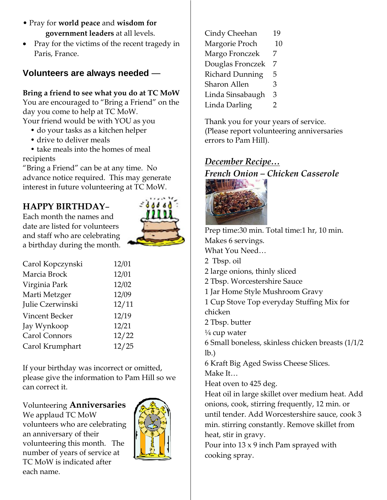- Pray for **world peace** and **wisdom for government leaders** at all levels.
- Pray for the victims of the recent tragedy in Paris, France.

#### **Volunteers are always needed** —

#### **Bring a friend to see what you do at TC MoW**

You are encouraged to "Bring a Friend" on the day you come to help at TC MoW.

Your friend would be with YOU as you

- do your tasks as a kitchen helper
- drive to deliver meals

 • take meals into the homes of meal recipients

"Bring a Friend" can be at any time. No advance notice required. This may generate interest in future volunteering at TC MoW.

## **HAPPY BIRTHDAY**–

Each month the names and date are listed for volunteers and staff who are celebrating a birthday during the month.



| Carol Kopczynski     | 12/01 |
|----------------------|-------|
| Marcia Brock         | 12/01 |
| Virginia Park        | 12/02 |
| Marti Metzger        | 12/09 |
| Julie Czerwinski     | 12/11 |
| Vincent Becker       | 12/19 |
| Jay Wynkoop          | 12/21 |
| <b>Carol Connors</b> | 12/22 |
| Carol Krumphart      | 12/25 |

If your birthday was incorrect or omitted, please give the information to Pam Hill so we can correct it.

#### Volunteering **Anniversaries**

We applaud TC MoW volunteers who are celebrating an anniversary of their volunteering this month. The number of years of service at TC MoW is indicated after each name.



| Cindy Cheehan          | 19 |
|------------------------|----|
| Margorie Proch         | 10 |
| Margo Fronczek         | 7  |
| Douglas Fronczek       | 7  |
| <b>Richard Dunning</b> | 5  |
| Sharon Allen           | 3  |
| Linda Sinsabaugh       | 3  |
| Linda Darling          | 2  |
|                        |    |

Thank you for your years of service. (Please report volunteering anniversaries errors to Pam Hill).

# *December Recipe… French Onion – Chicken Casserole*



Prep time:30 min. Total time:1 hr, 10 min. Makes 6 servings. What You Need… 2 Tbsp. oil 2 large onions, thinly sliced 2 Tbsp. Worcestershire Sauce 1 Jar Home Style Mushroom Gravy 1 Cup Stove Top everyday Stuffing Mix for chicken 2 Tbsp. butter  $\frac{1}{4}$  cup water 6 Small boneless, skinless chicken breasts (1/1/2 lb.) 6 Kraft Big Aged Swiss Cheese Slices. Make It… Heat oven to 425 deg. Heat oil in large skillet over medium heat. Add onions, cook, stirring frequently, 12 min. or until tender. Add Worcestershire sauce, cook 3 min. stirring constantly. Remove skillet from heat, stir in gravy.

Pour into 13 x 9 inch Pam sprayed with cooking spray.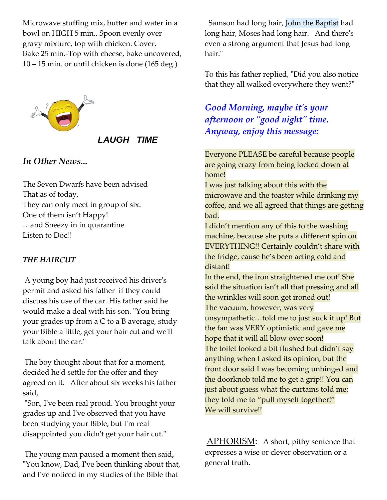Microwave stuffing mix, butter and water in a bowl on HIGH 5 min.. Spoon evenly over gravy mixture, top with chicken. Cover. Bake 25 min.-Top with cheese, bake uncovered, 10 – 15 min. or until chicken is done (165 deg.)



#### *LAUGH TIME*

#### *In Other News...*

The Seven Dwarfs have been advised That as of today, They can only meet in group of six. One of them isn't Happy! …and Sneezy in in quarantine. Listen to Doc!!

#### *THE HAIRCUT*

A young boy had just received his driver's permit and asked his father if they could discuss his use of the car. His father said he would make a deal with his son. "You bring your grades up from a C to a B average, study your Bible a little, get your hair cut and we'll talk about the car."

The boy thought about that for a moment, decided he'd settle for the offer and they agreed on it. After about six weeks his father said,

"Son, I've been real proud. You brought your grades up and I've observed that you have been studying your Bible, but I'm real disappointed you didn't get your hair cut."

The young man paused a moment then said**,** "You know, Dad, I've been thinking about that, and I've noticed in my studies of the Bible that

Samson had long hair, John the Baptist had long hair, Moses had long hair. And there's even a strong argument that Jesus had long hair."

To this his father replied, "Did you also notice that they all walked everywhere they went?"

### *Good Morning, maybe it's your afternoon or "good night" time. Anyway, enjoy this message:*

Everyone PLEASE be careful because people are going crazy from being locked down at home!

I was just talking about this with the microwave and the toaster while drinking my coffee, and we all agreed that things are getting bad.

I didn't mention any of this to the washing machine, because she puts a different spin on EVERYTHING!! Certainly couldn't share with the fridge, cause he's been acting cold and distant!

In the end, the iron straightened me out! She said the situation isn't all that pressing and all the wrinkles will soon get ironed out! The vacuum, however, was very unsympathetic…told me to just suck it up! But the fan was VERY optimistic and gave me hope that it will all blow over soon! The toilet looked a bit flushed but didn't say anything when I asked its opinion, but the front door said I was becoming unhinged and the doorknob told me to get a grip!! You can just about guess what the curtains told me: they told me to "pull myself together!" We will survive!!

APHORISM: A short, pithy sentence that expresses a wise or clever observation or a general truth.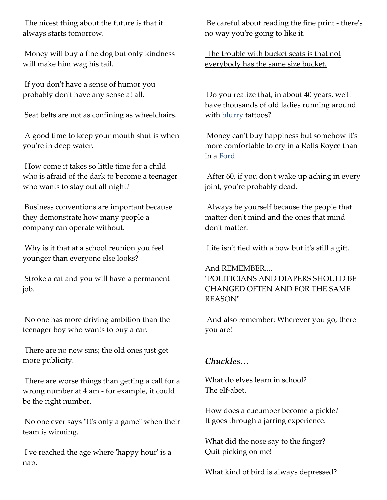The nicest thing about the future is that it always starts tomorrow.

Money will buy a fine dog but only kindness will make him wag his tail.

If you don't have a sense of humor you probably don't have any sense at all.

Seat belts are not as confining as wheelchairs.

A good time to keep your mouth shut is when you're in deep water.

How come it takes so little time for a child who is afraid of the dark to become a teenager who wants to stay out all night?

Business conventions are important because they demonstrate how many people a company can operate without.

Why is it that at a school reunion you feel younger than everyone else looks?

Stroke a cat and you will have a permanent job.

No one has more driving ambition than the teenager boy who wants to buy a car.

There are no new sins; the old ones just get more publicity.

There are worse things than getting a call for a wrong number at 4 am - for example, it could be the right number.

No one ever says "It's only a game" when their team is winning.

I've reached the age where 'happy hour' is a nap.

Be careful about reading the fine print - there's no way you're going to like it.

The trouble with bucket seats is that not everybody has the same size bucket.

Do you realize that, in about 40 years, we'll have thousands of old ladies running around with blurry tattoos?

Money can't buy happiness but somehow it's more comfortable to cry in a Rolls Royce than in a Ford.

After 60, if you don't wake up aching in every joint, you're probably dead.

Always be yourself because the people that matter don't mind and the ones that mind don't matter.

Life isn't tied with a bow but it's still a gift.

And REMEMBER.... "POLITICIANS AND DIAPERS SHOULD BE CHANGED OFTEN AND FOR THE SAME REASON"

And also remember: Wherever you go, there you are!

#### *Chuckles…*

What do elves learn in school? The elf-abet.

How does a cucumber become a pickle? It goes through a jarring experience.

What did the nose say to the finger? Quit picking on me!

What kind of bird is always depressed?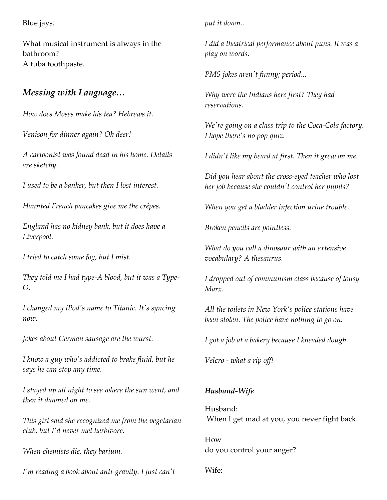Blue jays.

What musical instrument is always in the bathroom? A tuba toothpaste.

#### *Messing with Language…*

*How does Moses make his tea? Hebrews it.*

*Venison for dinner again? Oh deer!*

*A cartoonist was found dead in his home. Details are sketchy.*

*I used to be a banker, but then I lost interest.*

*Haunted French pancakes give me the crêpes.*

*England has no kidney bank, but it does have a Liverpool.*

*I tried to catch some fog, but I mist.*

*They told me I had type-A blood, but it was a Type-O.*

*I changed my iPod's name to Titanic. It's syncing now.*

*Jokes about German sausage are the wurst.*

*I know a guy who's addicted to brake fluid, but he says he can stop any time.*

*I stayed up all night to see where the sun went, and then it dawned on me.*

*This girl said she recognized me from the vegetarian club, but I'd never met herbivore.*

*When chemists die, they barium.*

*I'm reading a book about anti-gravity. I just can't* 

*put it down..*

*I did a theatrical performance about puns. It was a play on words.*

*PMS jokes aren't funny; period...*

*Why were the Indians here first? They had reservations.*

*We're going on a class trip to the Coca-Cola factory. I hope there's no pop quiz.*

*I didn't like my beard at first. Then it grew on me.*

*Did you hear about the cross-eyed teacher who lost her job because she couldn't control her pupils?*

*When you get a bladder infection urine trouble.*

*Broken pencils are pointless.*

*What do you call a dinosaur with an extensive vocabulary? A thesaurus.*

*I dropped out of communism class because of lousy Marx.*

*All the toilets in New York's police stations have been stolen. The police have nothing to go on.*

*I got a job at a bakery because I kneaded dough.*

*Velcro - what a rip off!*

#### *Husband-Wife*

Husband: When I get mad at you, you never fight back.

How do you control your anger?

Wife: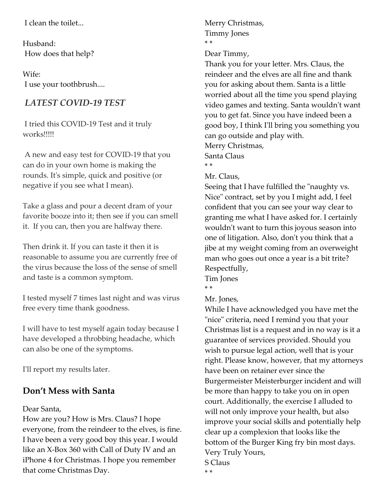I clean the toilet...

Husband: How does that help?

Wife: I use your toothbrush....

#### *LATEST COVID-19 TEST*

I tried this COVID-19 Test and it truly works!!!!!

A new and easy test for COVID-19 that you can do in your own home is making the rounds. It's simple, quick and positive (or negative if you see what I mean).

Take a glass and pour a decent dram of your favorite booze into it; then see if you can smell it. If you can, then you are halfway there.

Then drink it. If you can taste it then it is reasonable to assume you are currently free of the virus because the loss of the sense of smell and taste is a common symptom.

I tested myself 7 times last night and was virus free every time thank goodness.

I will have to test myself again today because I have developed a throbbing headache, which can also be one of the symptoms.

I'll report my results later.

#### **Don't Mess with Santa**

#### Dear Santa,

How are you? How is Mrs. Claus? I hope everyone, from the reindeer to the elves, is fine. I have been a very good boy this year. I would like an X-Box 360 with Call of Duty IV and an iPhone 4 for Christmas. I hope you remember that come Christmas Day.

Merry Christmas, Timmy Jones \* \*

Dear Timmy,

Thank you for your letter. Mrs. Claus, the reindeer and the elves are all fine and thank you for asking about them. Santa is a little worried about all the time you spend playing video games and texting. Santa wouldn't want you to get fat. Since you have indeed been a good boy, I think I'll bring you something you can go outside and play with. Merry Christmas, Santa Claus

\* \*

Mr. Claus,

Seeing that I have fulfilled the "naughty vs. Nice" contract, set by you I might add, I feel confident that you can see your way clear to granting me what I have asked for. I certainly wouldn't want to turn this joyous season into one of litigation. Also, don't you think that a jibe at my weight coming from an overweight man who goes out once a year is a bit trite? Respectfully,

Tim Jones

\* \*

Mr. Jones,

While I have acknowledged you have met the "nice" criteria, need I remind you that your Christmas list is a request and in no way is it a guarantee of services provided. Should you wish to pursue legal action, well that is your right. Please know, however, that my attorneys have been on retainer ever since the Burgermeister Meisterburger incident and will be more than happy to take you on in open court. Additionally, the exercise I alluded to will not only improve your health, but also improve your social skills and potentially help clear up a complexion that looks like the bottom of the Burger King fry bin most days. Very Truly Yours, S Claus

\* \*